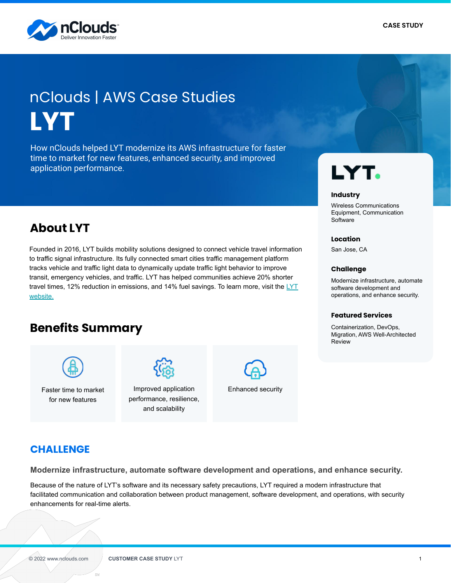

# **LYT** nClouds | AWS Case Studies

How nClouds helped LYT modernize its AWS infrastructure for faster time to market for new features, enhanced security, and improved application performance.

# **About LYT**

Founded in 2016, LYT builds mobility solutions designed to connect vehicle travel information to traffic signal infrastructure. Its fully connected smart cities traffic management platform tracks vehicle and traffic light data to dynamically update traffic light behavior to improve transit, emergency vehicles, and traffic. LYT has helped communities achieve 20% shorter travel times, 12% reduction in emissions, and 14% fuel savings. To learn more, visit the  $LYT$ [website.](https://lyt.ai/)

# **Benefits Summary** Containerization, DevOps,



Faster time to market for new features



Improved application performance, resilience, and scalability



Enhanced security

## **CHALLENGE**

**Modernize infrastructure, automate software development and operations, and enhance security.**

Because of the nature of LYT's software and its necessary safety precautions, LYT required a modern infrastructure that facilitated communication and collaboration between product management, software development, and operations, with security enhancements for real-time alerts.

# LYT.

#### **Industry**

Wireless Communications Equipment, Communication **Software** 

#### **Location**

San Jose, CA

#### **Challenge**

Modernize infrastructure, automate software development and operations, and enhance security.

#### **Featured Services**

Migration, AWS Well-Architected Review

es.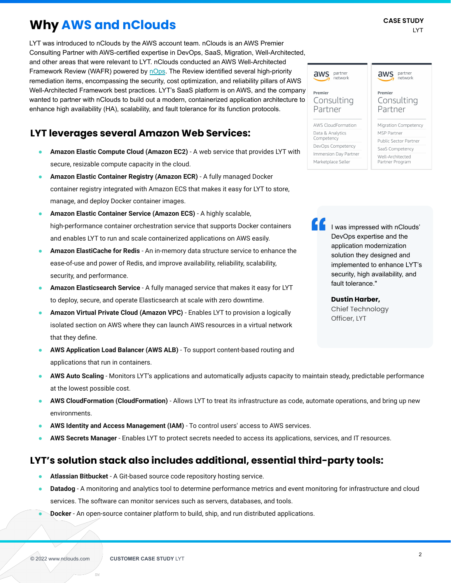# **Why AWS and nClouds**

LYT was introduced to nClouds by the AWS account team. nClouds is an AWS Premier Consulting Partner with AWS-certified expertise in DevOps, SaaS, Migration, Well-Architected, and other areas that were relevant to LYT. nClouds conducted an AWS Well-Architected Framework Review (WAFR) powered by [nOps.](http://www.nops.io) The Review identified several high-priority remediation items, encompassing the security, cost optimization, and reliability pillars of AWS Well-Architected Framework best practices. LYT's SaaS platform is on AWS, and the company wanted to partner with nClouds to build out a modern, containerized application architecture to enhance high availability (HA), scalability, and fault tolerance for its function protocols.

### **LYT leverages several Amazon Web Services:**

- Amazon Elastic Compute Cloud (Amazon EC2) A web service that provides LYT with secure, resizable compute capacity in the cloud.
- Amazon Elastic Container Registry (Amazon ECR) A fully managed Docker container registry integrated with Amazon ECS that makes it easy for LYT to store, manage, and deploy Docker container images.
- **Amazon Elastic Container Service (Amazon ECS)** A highly scalable, high-performance container orchestration service that supports Docker containers and enables LYT to run and scale containerized applications on AWS easily.
- **Amazon ElastiCache for Redis** An in-memory data structure service to enhance the ease-of-use and power of Redis, and improve availability, reliability, scalability, security, and performance.
- Amazon Elasticsearch Service A fully managed service that makes it easy for LYT to deploy, secure, and operate Elasticsearch at scale with zero downtime.
- **Amazon Virtual Private Cloud (Amazon VPC)** Enables LYT to provision a logically isolated section on AWS where they can launch AWS resources in a virtual network that they define.
- **AWS Application Load Balancer (AWS ALB)** To support content-based routing and applications that run in containers.
- **AWS Auto Scaling** Monitors LYT's applications and automatically adjusts capacity to maintain steady, predictable performance at the lowest possible cost.
- **AWS CloudFormation (CloudFormation)** Allows LYT to treat its infrastructure as code, automate operations, and bring up new environments.
- AWS Identity and Access Management (IAM) To control users' access to AWS services.
- **AWS Secrets Manager** Enables LYT to protect secrets needed to access its applications, services, and IT resources.

### **LYT's solution stack also includes additional, essential third-party tools:**

- Atlassian Bitbucket A Git-based source code repository hosting service.
- **Datadog** A monitoring and analytics tool to determine performance metrics and event monitoring for infrastructure and cloud services. The software can monitor services such as servers, databases, and tools.
- **Docker** An open-source container platform to build, ship, and run distributed applications.

network Premier Consulting Consulting Partner Partner **AWS CloudFormation** Migration Competency Data & Analytics MSP Partner Competency Public Sector Partner DevOps Competency SaaS Competency

Immersion Day Partner

Marketplace Seller

aws partner

aws partner network Premier

Well-Architected

Partner Program

I was impressed with nClouds' DevOps expertise and the application modernization solution they designed and implemented to enhance LYT's security, high availability, and fault tolerance."

**Dustin Harber,**  Chief Technology Officer, LYT

es c